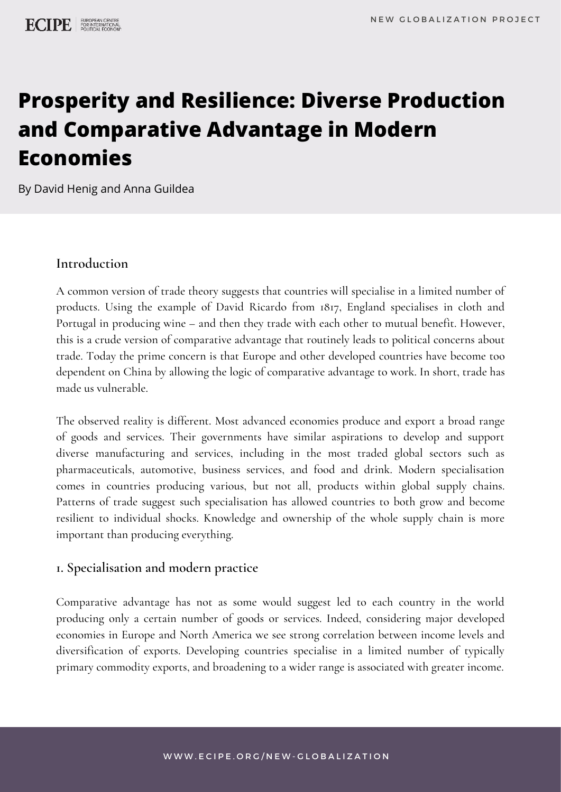# **Prosperity and Resilience: Diverse Production and Comparative Advantage in Modern Economies**

By David Henig and Anna Guildea

### **Introduction**

A common version of trade theory suggests that countries will specialise in a limited number of products. Using the example of David Ricardo from 1817, England specialises in cloth and Portugal in producing wine – and then they trade with each other to mutual benefit. However, this is a crude version of comparative advantage that routinely leads to political concerns about trade. Today the prime concern is that Europe and other developed countries have become too dependent on China by allowing the logic of comparative advantage to work. In short, trade has made us vulnerable.

The observed reality is different. Most advanced economies produce and export a broad range of goods and services. Their governments have similar aspirations to develop and support diverse manufacturing and services, including in the most traded global sectors such as pharmaceuticals, automotive, business services, and food and drink. Modern specialisation comes in countries producing various, but not all, products within global supply chains. Patterns of trade suggest such specialisation has allowed countries to both grow and become resilient to individual shocks. Knowledge and ownership of the whole supply chain is more important than producing everything.

## **1. Specialisation and modern practice**

Comparative advantage has not as some would suggest led to each country in the world producing only a certain number of goods or services. Indeed, considering major developed economies in Europe and North America we see strong correlation between income levels and diversification of exports. Developing countries specialise in a limited number of typically primary commodity exports, and broadening to a wider range is associated with greater income.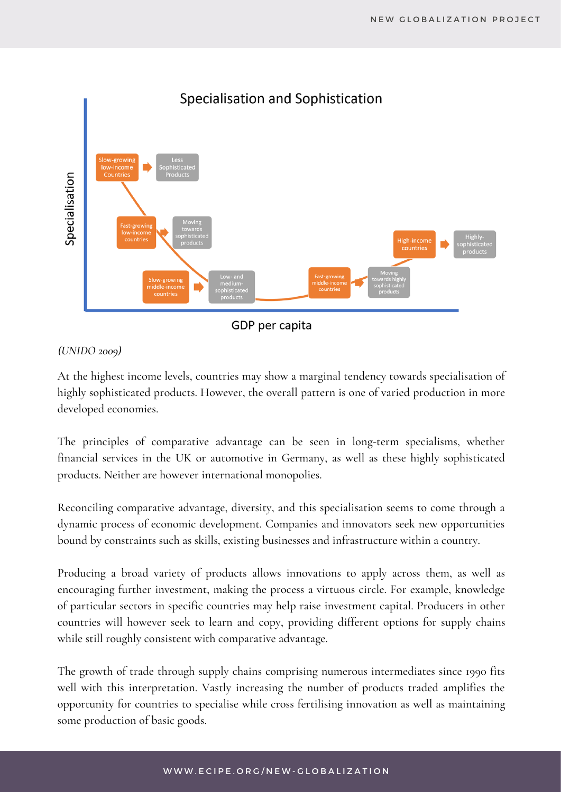

GDP per capita

#### *(UNIDO 2009)*

At the highest income levels, countries may show a marginal tendency towards specialisation of highly sophisticated products. However, the overall pattern is one of varied production in more developed economies.

The principles of comparative advantage can be seen in long-term specialisms, whether financial services in the UK or automotive in Germany, as well as these highly sophisticated products. Neither are however international monopolies.

Reconciling comparative advantage, diversity, and this specialisation seems to come through a dynamic process of economic development. Companies and innovators seek new opportunities bound by constraints such as skills, existing businesses and infrastructure within a country.

Producing a broad variety of products allows innovations to apply across them, as well as encouraging further investment, making the process a virtuous circle. For example, knowledge of particular sectors in specific countries may help raise investment capital. Producers in other countries will however seek to learn and copy, providing different options for supply chains while still roughly consistent with comparative advantage.

The growth of trade through supply chains comprising numerous intermediates since 1990 fits well with this interpretation. Vastly increasing the number of products traded amplifies the opportunity for countries to specialise while cross fertilising innovation as well as maintaining some production of basic goods.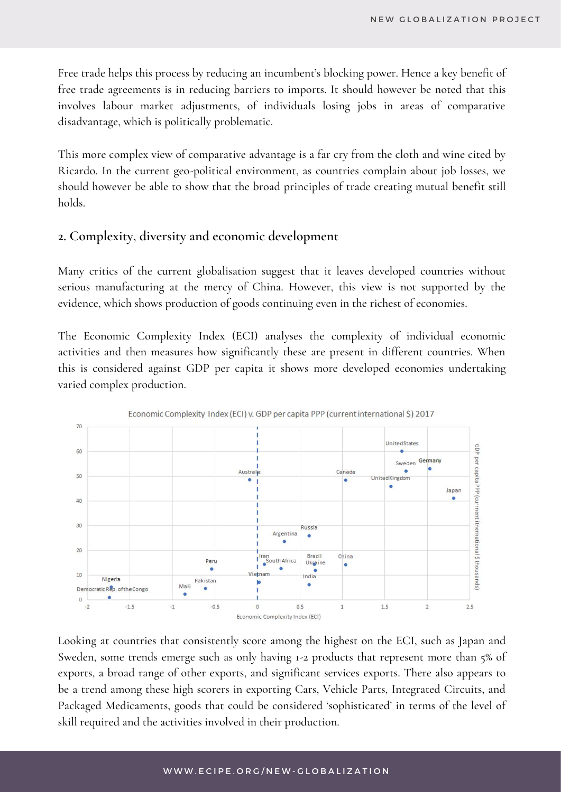Free trade helps this process by reducing an incumbent's blocking power. Hence a key benefit of free trade agreements is in reducing barriers to imports. It should however be noted that this involves labour market adjustments, of individuals losing jobs in areas of comparative disadvantage, which is politically problematic.

This more complex view of comparative advantage is a far cry from the cloth and wine cited by Ricardo. In the current geo-political environment, as countries complain about job losses, we should however be able to show that the broad principles of trade creating mutual benefit still holds.

#### **2. Complexity, diversity and economic development**

Many critics of the current globalisation suggest that it leaves developed countries without serious manufacturing at the mercy of China. However, this view is not supported by the evidence, which shows production of goods continuing even in the richest of economies.

The Economic Complexity Index (ECI) analyses the complexity of individual economic activities and then measures how significantly these are present in different countries. When this is considered against GDP per capita it shows more developed economies undertaking varied complex production.





Looking at countries that consistently score among the highest on the ECI, such as Japan and Sweden, some trends emerge such as only having 1-2 products that represent more than 5% of exports, a broad range of other exports, and significant services exports. There also appears to be a trend among these high scorers in exporting Cars, Vehicle Parts, Integrated Circuits, and Packaged Medicaments, goods that could be considered 'sophisticated' in terms of the level of skill required and the activities involved in their production.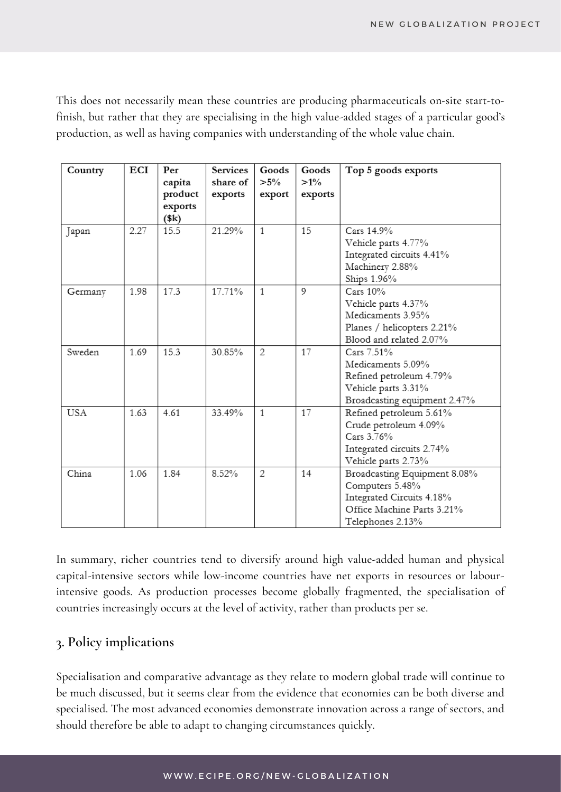This does not necessarily mean these countries are producing pharmaceuticals on-site start-tofinish, but rather that they are specialising in the high value-added stages of a particular good's production, as well as having companies with understanding of the whole value chain.

| Country | ECI  | Per<br>capita<br>product<br>exports<br>(\$k) | Services<br>share of<br>exports | Goods<br>$>5\%$<br>export | Goods<br>$>1\%$<br>exports | Top 5 goods exports                                                                                                            |
|---------|------|----------------------------------------------|---------------------------------|---------------------------|----------------------------|--------------------------------------------------------------------------------------------------------------------------------|
| Japan   | 2.27 | 15.5                                         | 21.29%                          | $\mathbf{1}$              | 15                         | Cars 14 9%<br>Vehicle parts 4.77%<br>Integrated circuits 4.41%<br>Machinery 2.88%<br>Ships 1.96%                               |
| Germany | 1.98 | 17.3                                         | 17.71%                          | $\mathbf{1}$              | 9                          | Cars $10%$<br>Vehicle parts 4.37%<br>Medicaments 3.95%<br>Planes / helicopters 2.21%<br>Blood and related 2.07%                |
| Sweden  | 1.69 | 15.3                                         | 30.85%                          | 2                         | 17                         | Cars 7.51%<br>Medicaments 5.09%<br>Refined petroleum 4.79%<br>Vehicle parts 3.31%<br>Broadcasting equipment 2.47%              |
| USA     | 1.63 | 4.61                                         | 33.49%                          | 1                         | 17                         | Refined petroleum 5.61%<br>Crude petroleum 4.09%<br>Cars 3.76%<br>Integrated circuits 2.74%<br>Vehicle parts 2.73%             |
| China   | 1.06 | 1.84                                         | 8.52%                           | 2                         | 14                         | Broadcasting Equipment 8.08%<br>Computers 5.48%<br>Integrated Circuits 4.18%<br>Office Machine Parts 3.21%<br>Telephones 2.13% |

In summary, richer countries tend to diversify around high value-added human and physical capital-intensive sectors while low-income countries have net exports in resources or labourintensive goods. As production processes become globally fragmented, the specialisation of countries increasingly occurs at the level of activity, rather than products per se.

# **3. Policy implications**

Specialisation and comparative advantage as they relate to modern global trade will continue to be much discussed, but it seems clear from the evidence that economies can be both diverse and specialised. The most advanced economies demonstrate innovation across a range of sectors, and should therefore be able to adapt to changing circumstances quickly.